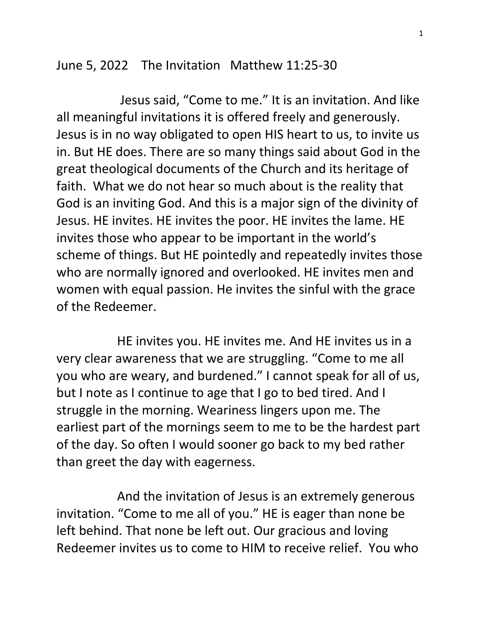## June 5, 2022 The Invitation Matthew 11:25-30

 Jesus said, "Come to me." It is an invitation. And like all meaningful invitations it is offered freely and generously. Jesus is in no way obligated to open HIS heart to us, to invite us in. But HE does. There are so many things said about God in the great theological documents of the Church and its heritage of faith. What we do not hear so much about is the reality that God is an inviting God. And this is a major sign of the divinity of Jesus. HE invites. HE invites the poor. HE invites the lame. HE invites those who appear to be important in the world's scheme of things. But HE pointedly and repeatedly invites those who are normally ignored and overlooked. HE invites men and women with equal passion. He invites the sinful with the grace of the Redeemer.

 HE invites you. HE invites me. And HE invites us in a very clear awareness that we are struggling. "Come to me all you who are weary, and burdened." I cannot speak for all of us, but I note as I continue to age that I go to bed tired. And I struggle in the morning. Weariness lingers upon me. The earliest part of the mornings seem to me to be the hardest part of the day. So often I would sooner go back to my bed rather than greet the day with eagerness.

 And the invitation of Jesus is an extremely generous invitation. "Come to me all of you." HE is eager than none be left behind. That none be left out. Our gracious and loving Redeemer invites us to come to HIM to receive relief. You who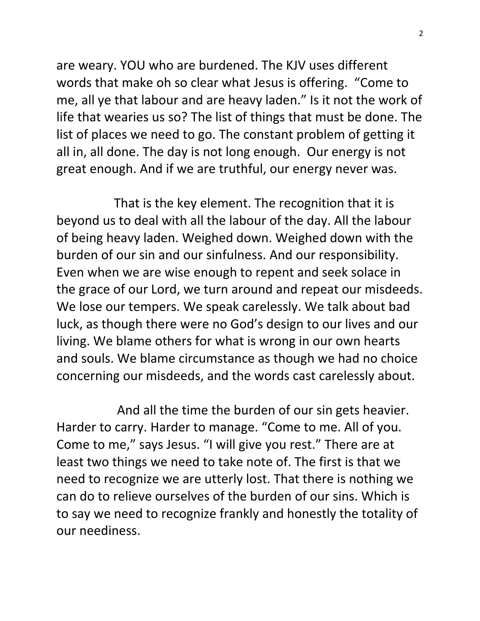are weary. YOU who are burdened. The KJV uses different words that make oh so clear what Jesus is offering. "Come to me, all ye that labour and are heavy laden." Is it not the work of life that wearies us so? The list of things that must be done. The list of places we need to go. The constant problem of getting it all in, all done. The day is not long enough. Our energy is not great enough. And if we are truthful, our energy never was.

 That is the key element. The recognition that it is beyond us to deal with all the labour of the day. All the labour of being heavy laden. Weighed down. Weighed down with the burden of our sin and our sinfulness. And our responsibility. Even when we are wise enough to repent and seek solace in the grace of our Lord, we turn around and repeat our misdeeds. We lose our tempers. We speak carelessly. We talk about bad luck, as though there were no God's design to our lives and our living. We blame others for what is wrong in our own hearts and souls. We blame circumstance as though we had no choice concerning our misdeeds, and the words cast carelessly about.

 And all the time the burden of our sin gets heavier. Harder to carry. Harder to manage. "Come to me. All of you. Come to me," says Jesus. "I will give you rest." There are at least two things we need to take note of. The first is that we need to recognize we are utterly lost. That there is nothing we can do to relieve ourselves of the burden of our sins. Which is to say we need to recognize frankly and honestly the totality of our neediness.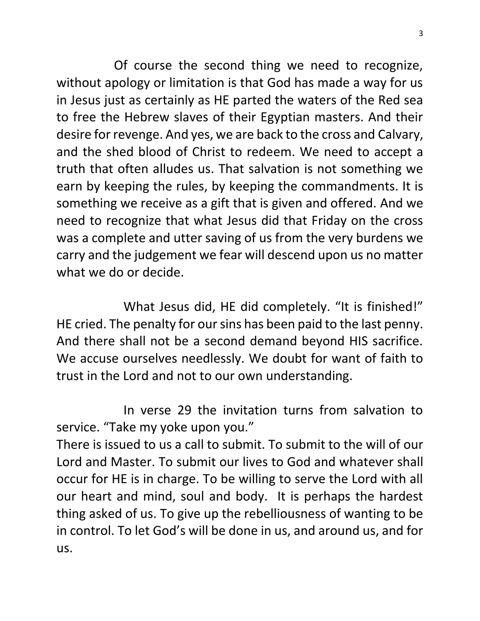Of course the second thing we need to recognize, without apology or limitation is that God has made a way for us in Jesus just as certainly as HE parted the waters of the Red sea to free the Hebrew slaves of their Egyptian masters. And their desire for revenge. And yes, we are back to the cross and Calvary, and the shed blood of Christ to redeem. We need to accept a truth that often alludes us. That salvation is not something we earn by keeping the rules, by keeping the commandments. It is something we receive as a gift that is given and offered. And we need to recognize that what Jesus did that Friday on the cross was a complete and utter saving of us from the very burdens we carry and the judgement we fear will descend upon us no matter what we do or decide.

 What Jesus did, HE did completely. "It is finished!" HE cried. The penalty for our sins has been paid to the last penny. And there shall not be a second demand beyond HIS sacrifice. We accuse ourselves needlessly. We doubt for want of faith to trust in the Lord and not to our own understanding.

 In verse 29 the invitation turns from salvation to service. "Take my yoke upon you."

There is issued to us a call to submit. To submit to the will of our Lord and Master. To submit our lives to God and whatever shall occur for HE is in charge. To be willing to serve the Lord with all our heart and mind, soul and body. It is perhaps the hardest thing asked of us. To give up the rebelliousness of wanting to be in control. To let God's will be done in us, and around us, and for us.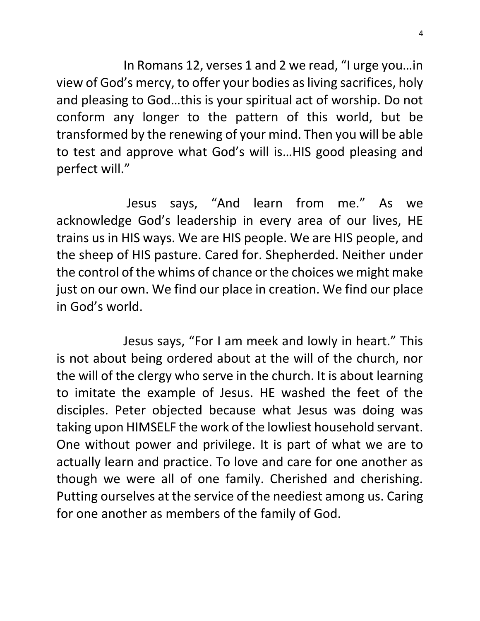In Romans 12, verses 1 and 2 we read, "I urge you…in view of God's mercy, to offer your bodies as living sacrifices, holy and pleasing to God…this is your spiritual act of worship. Do not conform any longer to the pattern of this world, but be transformed by the renewing of your mind. Then you will be able to test and approve what God's will is…HIS good pleasing and perfect will."

 Jesus says, "And learn from me." As we acknowledge God's leadership in every area of our lives, HE trains us in HIS ways. We are HIS people. We are HIS people, and the sheep of HIS pasture. Cared for. Shepherded. Neither under the control of the whims of chance or the choices we might make just on our own. We find our place in creation. We find our place in God's world.

 Jesus says, "For I am meek and lowly in heart." This is not about being ordered about at the will of the church, nor the will of the clergy who serve in the church. It is about learning to imitate the example of Jesus. HE washed the feet of the disciples. Peter objected because what Jesus was doing was taking upon HIMSELF the work of the lowliest household servant. One without power and privilege. It is part of what we are to actually learn and practice. To love and care for one another as though we were all of one family. Cherished and cherishing. Putting ourselves at the service of the neediest among us. Caring for one another as members of the family of God.